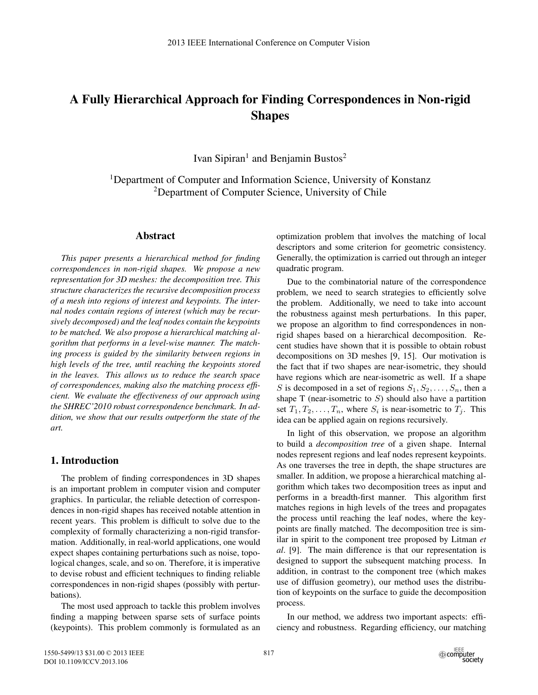# A Fully Hierarchical Approach for Finding Correspondences in Non-rigid Shapes

Ivan Sipiran<sup>1</sup> and Benjamin Bustos<sup>2</sup>

<sup>1</sup>Department of Computer and Information Science, University of Konstanz 2Department of Computer Science, University of Chile

# Abstract

*This paper presents a hierarchical method for finding correspondences in non-rigid shapes. We propose a new representation for 3D meshes: the decomposition tree. This structure characterizes the recursive decomposition process of a mesh into regions of interest and keypoints. The internal nodes contain regions of interest (which may be recursively decomposed) and the leaf nodes contain the keypoints to be matched. We also propose a hierarchical matching algorithm that performs in a level-wise manner. The matching process is guided by the similarity between regions in high levels of the tree, until reaching the keypoints stored in the leaves. This allows us to reduce the search space of correspondences, making also the matching process efficient. We evaluate the effectiveness of our approach using the SHREC'2010 robust correspondence benchmark. In addition, we show that our results outperform the state of the art.*

## 1. Introduction

The problem of finding correspondences in 3D shapes is an important problem in computer vision and computer graphics. In particular, the reliable detection of correspondences in non-rigid shapes has received notable attention in recent years. This problem is difficult to solve due to the complexity of formally characterizing a non-rigid transformation. Additionally, in real-world applications, one would expect shapes containing perturbations such as noise, topological changes, scale, and so on. Therefore, it is imperative to devise robust and efficient techniques to finding reliable correspondences in non-rigid shapes (possibly with perturbations).

The most used approach to tackle this problem involves finding a mapping between sparse sets of surface points (keypoints). This problem commonly is formulated as an

optimization problem that involves the matching of local descriptors and some criterion for geometric consistency. Generally, the optimization is carried out through an integer quadratic program.

Due to the combinatorial nature of the correspondence problem, we need to search strategies to efficiently solve the problem. Additionally, we need to take into account the robustness against mesh perturbations. In this paper, we propose an algorithm to find correspondences in nonrigid shapes based on a hierarchical decomposition. Recent studies have shown that it is possible to obtain robust decompositions on 3D meshes [9, 15]. Our motivation is the fact that if two shapes are near-isometric, they should have regions which are near-isometric as well. If a shape S is decomposed in a set of regions  $S_1, S_2, \ldots, S_n$ , then a shape  $T$  (near-isometric to  $S$ ) should also have a partition set  $T_1, T_2, \ldots, T_n$ , where  $S_i$  is near-isometric to  $T_j$ . This idea can be applied again on regions recursively.

In light of this observation, we propose an algorithm to build a *decomposition tree* of a given shape. Internal nodes represent regions and leaf nodes represent keypoints. As one traverses the tree in depth, the shape structures are smaller. In addition, we propose a hierarchical matching algorithm which takes two decomposition trees as input and performs in a breadth-first manner. This algorithm first matches regions in high levels of the trees and propagates the process until reaching the leaf nodes, where the keypoints are finally matched. The decomposition tree is similar in spirit to the component tree proposed by Litman *et al*. [9]. The main difference is that our representation is designed to support the subsequent matching process. In addition, in contrast to the component tree (which makes use of diffusion geometry), our method uses the distribution of keypoints on the surface to guide the decomposition process.

In our method, we address two important aspects: efficiency and robustness. Regarding efficiency, our matching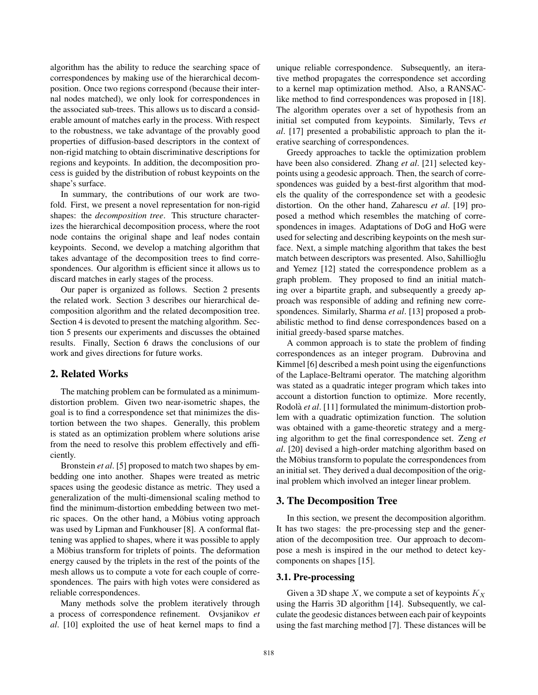algorithm has the ability to reduce the searching space of correspondences by making use of the hierarchical decomposition. Once two regions correspond (because their internal nodes matched), we only look for correspondences in the associated sub-trees. This allows us to discard a considerable amount of matches early in the process. With respect to the robustness, we take advantage of the provably good properties of diffusion-based descriptors in the context of non-rigid matching to obtain discriminative descriptions for regions and keypoints. In addition, the decomposition process is guided by the distribution of robust keypoints on the shape's surface.

In summary, the contributions of our work are twofold. First, we present a novel representation for non-rigid shapes: the *decomposition tree*. This structure characterizes the hierarchical decomposition process, where the root node contains the original shape and leaf nodes contain keypoints. Second, we develop a matching algorithm that takes advantage of the decomposition trees to find correspondences. Our algorithm is efficient since it allows us to discard matches in early stages of the process.

Our paper is organized as follows. Section 2 presents the related work. Section 3 describes our hierarchical decomposition algorithm and the related decomposition tree. Section 4 is devoted to present the matching algorithm. Section 5 presents our experiments and discusses the obtained results. Finally, Section 6 draws the conclusions of our work and gives directions for future works.

# 2. Related Works

The matching problem can be formulated as a minimumdistortion problem. Given two near-isometric shapes, the goal is to find a correspondence set that minimizes the distortion between the two shapes. Generally, this problem is stated as an optimization problem where solutions arise from the need to resolve this problem effectively and efficiently.

Bronstein *et al*. [5] proposed to match two shapes by embedding one into another. Shapes were treated as metric spaces using the geodesic distance as metric. They used a generalization of the multi-dimensional scaling method to find the minimum-distortion embedding between two metric spaces. On the other hand, a Möbius voting approach was used by Lipman and Funkhouser [8]. A conformal flattening was applied to shapes, where it was possible to apply a Möbius transform for triplets of points. The deformation energy caused by the triplets in the rest of the points of the mesh allows us to compute a vote for each couple of correspondences. The pairs with high votes were considered as reliable correspondences.

Many methods solve the problem iteratively through a process of correspondence refinement. Ovsjanikov *et al*. [10] exploited the use of heat kernel maps to find a unique reliable correspondence. Subsequently, an iterative method propagates the correspondence set according to a kernel map optimization method. Also, a RANSAClike method to find correspondences was proposed in [18]. The algorithm operates over a set of hypothesis from an initial set computed from keypoints. Similarly, Tevs *et al*. [17] presented a probabilistic approach to plan the iterative searching of correspondences.

Greedy approaches to tackle the optimization problem have been also considered. Zhang *et al*. [21] selected keypoints using a geodesic approach. Then, the search of correspondences was guided by a best-first algorithm that models the quality of the correspondence set with a geodesic distortion. On the other hand, Zaharescu *et al*. [19] proposed a method which resembles the matching of correspondences in images. Adaptations of DoG and HoG were used for selecting and describing keypoints on the mesh surface. Next, a simple matching algorithm that takes the best match between descriptors was presented. Also, Sahillioglu ˘ and Yemez [12] stated the correspondence problem as a graph problem. They proposed to find an initial matching over a bipartite graph, and subsequently a greedy approach was responsible of adding and refining new correspondences. Similarly, Sharma *et al*. [13] proposed a probabilistic method to find dense correspondences based on a initial greedy-based sparse matches.

A common approach is to state the problem of finding correspondences as an integer program. Dubrovina and Kimmel [6] described a mesh point using the eigenfunctions of the Laplace-Beltrami operator. The matching algorithm was stated as a quadratic integer program which takes into account a distortion function to optimize. More recently, Rodola` *et al*. [11] formulated the minimum-distortion problem with a quadratic optimization function. The solution was obtained with a game-theoretic strategy and a merging algorithm to get the final correspondence set. Zeng *et al*. [20] devised a high-order matching algorithm based on the Möbius transform to populate the correspondences from an initial set. They derived a dual decomposition of the original problem which involved an integer linear problem.

## 3. The Decomposition Tree

In this section, we present the decomposition algorithm. It has two stages: the pre-processing step and the generation of the decomposition tree. Our approach to decompose a mesh is inspired in the our method to detect keycomponents on shapes [15].

# 3.1. Pre-processing

Given a 3D shape  $X$ , we compute a set of keypoints  $K_X$ using the Harris 3D algorithm [14]. Subsequently, we calculate the geodesic distances between each pair of keypoints using the fast marching method [7]. These distances will be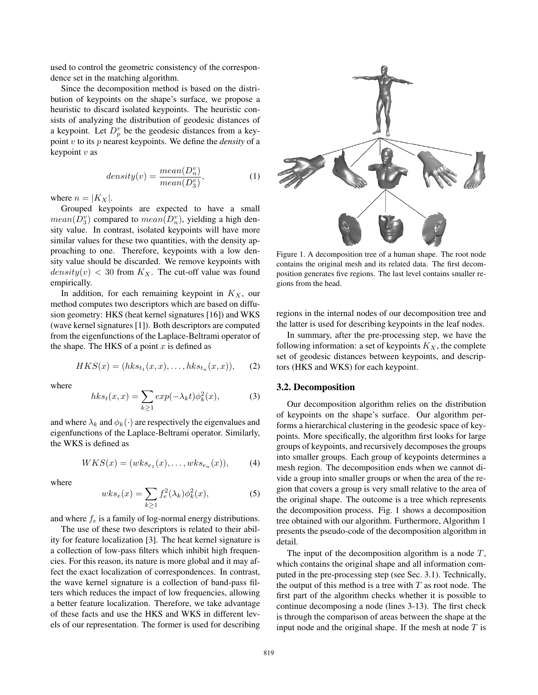used to control the geometric consistency of the correspondence set in the matching algorithm.

Since the decomposition method is based on the distribution of keypoints on the shape's surface, we propose a heuristic to discard isolated keypoints. The heuristic consists of analyzing the distribution of geodesic distances of a keypoint. Let  $D_p^v$  be the geodesic distances from a key-<br>point u to its a pearest keypoints. We define the density of a point v to its p nearest keypoints. We define the *density* of a keypoint  $v$  as

$$
density(v) = \frac{mean(D_n^v)}{mean(D_3^v)},
$$
\n(1)

where  $n = |K_X|$ .

Grouped keypoints are expected to have a small  $mean(D_3^v)$  compared to  $mean(D_n^v)$ , yielding a high den-<br>sity value. In contrast, isolated keypoints will have more sity value. In contrast, isolated keypoints will have more similar values for these two quantities, with the density approaching to one. Therefore, keypoints with a low density value should be discarded. We remove keypoints with  $density(v) < 30$  from  $K_X$ . The cut-off value was found empirically.

In addition, for each remaining keypoint in  $K_X$ , our method computes two descriptors which are based on diffusion geometry: HKS (heat kernel signatures [16]) and WKS (wave kernel signatures [1]). Both descriptors are computed from the eigenfunctions of the Laplace-Beltrami operator of the shape. The HKS of a point  $x$  is defined as

$$
HKS(x) = (hks_{t_1}(x,x), \ldots, hks_{t_n}(x,x)), \quad (2)
$$

where

$$
hks_t(x,x) = \sum_{k\geq 1} exp(-\lambda_k t) \phi_k^2(x), \qquad (3)
$$

and where  $\lambda_k$  and  $\phi_k(\cdot)$  are respectively the eigenvalues and eigenfunctions of the Laplace-Beltrami operator. Similarly, the WKS is defined as

$$
WKS(x) = (wks_{e_1}(x), \dots, wks_{e_n}(x)), \qquad (4)
$$

where

$$
wks_e(x) = \sum_{k\geq 1} f_e^2(\lambda_k)\phi_k^2(x),\tag{5}
$$

and where  $f_e$  is a family of log-normal energy distributions.

The use of these two descriptors is related to their ability for feature localization [3]. The heat kernel signature is a collection of low-pass filters which inhibit high frequencies. For this reason, its nature is more global and it may affect the exact localization of correspondences. In contrast, the wave kernel signature is a collection of band-pass filters which reduces the impact of low frequencies, allowing a better feature localization. Therefore, we take advantage of these facts and use the HKS and WKS in different levels of our representation. The former is used for describing



Figure 1. A decomposition tree of a human shape. The root node contains the original mesh and its related data. The first decomposition generates five regions. The last level contains smaller regions from the head.

regions in the internal nodes of our decomposition tree and the latter is used for describing keypoints in the leaf nodes.

In summary, after the pre-processing step, we have the following information: a set of keypoints  $K_X$ , the complete set of geodesic distances between keypoints, and descriptors (HKS and WKS) for each keypoint.

#### 3.2. Decomposition

Our decomposition algorithm relies on the distribution of keypoints on the shape's surface. Our algorithm performs a hierarchical clustering in the geodesic space of keypoints. More specifically, the algorithm first looks for large groups of keypoints, and recursively decomposes the groups into smaller groups. Each group of keypoints determines a mesh region. The decomposition ends when we cannot divide a group into smaller groups or when the area of the region that covers a group is very small relative to the area of the original shape. The outcome is a tree which represents the decomposition process. Fig. 1 shows a decomposition tree obtained with our algorithm. Furthermore, Algorithm 1 presents the pseudo-code of the decomposition algorithm in detail.

The input of the decomposition algorithm is a node  $T$ , which contains the original shape and all information computed in the pre-processing step (see Sec. 3.1). Technically, the output of this method is a tree with  $T$  as root node. The first part of the algorithm checks whether it is possible to continue decomposing a node (lines 3-13). The first check is through the comparison of areas between the shape at the input node and the original shape. If the mesh at node  $T$  is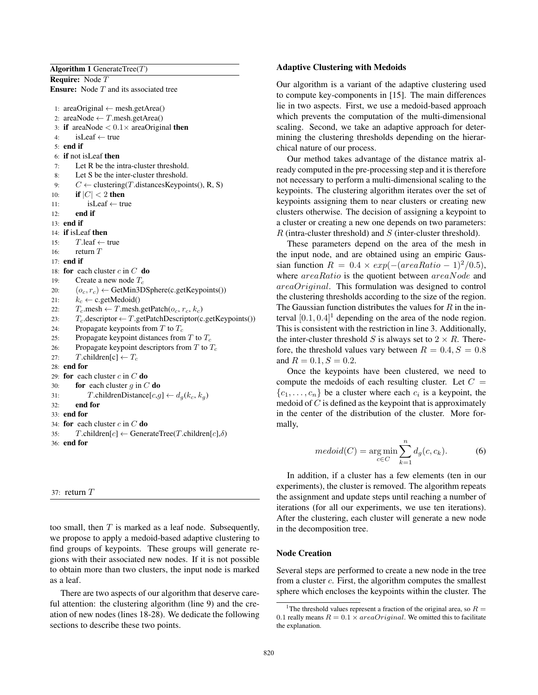Algorithm 1 GenerateTree $(T)$ Require: Node T **Ensure:** Node  $T$  and its associated tree 1: areaOriginal ← mesh.getArea() 2: areaNode  $\leftarrow T$ .mesh.getArea() 3: **if** areaNode  $< 0.1 \times$  areaOriginal **then**<br>4: **isLeaf**  $\leftarrow$  true  $isLeaf \leftarrow true$ 5: end if 6: if not isLeaf then 7: Let R be the intra-cluster threshold. 8: Let S be the inter-cluster threshold. 9:  $C \leftarrow$  clustering(T.distancesKeypoints(), R, S) 10: **if**  $|C| < 2$  then<br>11: **isLeaf**  $\leftarrow$  tru  $isLeaf \leftarrow true$  $12<sup>°</sup>$  end if 13: end if 14: if isLeaf then 15:  $T$ .leaf ← true 16: return  $T$ 17: end if 18: for each cluster  $c$  in  $C$  do 19: Create a new node  $T_c$ <br>20:  $(o_c, r_a) \leftarrow \text{GetMin3D}$ 20:  $(o_c, r_c) \leftarrow \text{GetMin3DSphere}(c.getKeywords())$ <br>  $21 \cdot k_c \leftarrow c.getMedoid()$ 21:  $k_c \leftarrow \text{c.getMedoid}()$ <br>22:  $T_c \cdot \text{mesh} \leftarrow T \cdot \text{mesh}.$ 22:  $T_c$ .mesh ← T.mesh.getPatch( $o_c$ ,  $r_c$ ,  $k_c$ )<br>23:  $T_c$ .descriptor ← T.getPatchDescriptor(c 23:  $T_c$ .descriptor ← T.getPatchDescriptor(c.getKeypoints())<br>24: Propagate keypoints from T to  $T_c$ 24: Propagate keypoints from  $T$  to  $T_c$ <br>25: Propagate keypoint distances from 25: Propagate keypoint distances from T to  $T_c$ <br>26: Propagate keypoint descriptors from T to T 26: Propagate keypoint descriptors from T to  $T_c$ <br>
27: T children[c]  $\leftarrow T_c$  $T$ .children[c]  $\leftarrow T_c$ 28: end for 29: for each cluster  $c$  in  $C$  do 30: **for** each cluster  $g$  in  $C$  **do** 31: T.childrenDistance[c,g]  $\leftarrow d_g(k_c, k_g)$ <br>32: **end for** end for 33: end for 34: for each cluster  $c$  in  $C$  do 35:  $T$ .children $[c] \leftarrow$  GenerateTree(T.children $[c], \delta$ ) 36: end for

#### 37: return T

too small, then  $T$  is marked as a leaf node. Subsequently, we propose to apply a medoid-based adaptive clustering to find groups of keypoints. These groups will generate regions with their associated new nodes. If it is not possible to obtain more than two clusters, the input node is marked as a leaf.

There are two aspects of our algorithm that deserve careful attention: the clustering algorithm (line 9) and the creation of new nodes (lines 18-28). We dedicate the following sections to describe these two points.

#### Adaptive Clustering with Medoids

Our algorithm is a variant of the adaptive clustering used to compute key-components in [15]. The main differences lie in two aspects. First, we use a medoid-based approach which prevents the computation of the multi-dimensional scaling. Second, we take an adaptive approach for determining the clustering thresholds depending on the hierarchical nature of our process.

Our method takes advantage of the distance matrix already computed in the pre-processing step and it is therefore not necessary to perform a multi-dimensional scaling to the keypoints. The clustering algorithm iterates over the set of keypoints assigning them to near clusters or creating new clusters otherwise. The decision of assigning a keypoint to a cluster or creating a new one depends on two parameters: R (intra-cluster threshold) and S (inter-cluster threshold).

These parameters depend on the area of the mesh in the input node, and are obtained using an empiric Gaussian function  $R = 0.4 \times exp(-(areaRatio - 1)^2/0.5)$ , where  $areaRatio$  is the quotient between  $areaNode$  and areaOriginal. This formulation was designed to control the clustering thresholds according to the size of the region. The Gaussian function distributes the values for  $R$  in the interval  $[0.1, 0.4]$ <sup>1</sup> depending on the area of the node region. This is consistent with the restriction in line 3. Additionally, the inter-cluster threshold S is always set to  $2 \times R$ . Therefore, the threshold values vary between  $R = 0.4, S = 0.8$ and  $R = 0.1, S = 0.2$ .

Once the keypoints have been clustered, we need to compute the medoids of each resulting cluster. Let  $C =$  ${c_1, \ldots, c_n}$  be a cluster where each  $c_i$  is a keypoint, the medoid of  $C$  is defined as the keypoint that is approximately in the center of the distribution of the cluster. More formally,

$$
medoid(C) = \underset{c \in C}{\arg \min} \sum_{k=1}^{n} d_g(c, c_k).
$$
 (6)

In addition, if a cluster has a few elements (ten in our experiments), the cluster is removed. The algorithm repeats the assignment and update steps until reaching a number of iterations (for all our experiments, we use ten iterations). After the clustering, each cluster will generate a new node in the decomposition tree.

#### Node Creation

Several steps are performed to create a new node in the tree from a cluster c. First, the algorithm computes the smallest sphere which encloses the keypoints within the cluster. The

<sup>&</sup>lt;sup>1</sup>The threshold values represent a fraction of the original area, so  $R =$ 0.1 really means  $R = 0.1 \times areaOriginal$ . We omitted this to facilitate the explanation.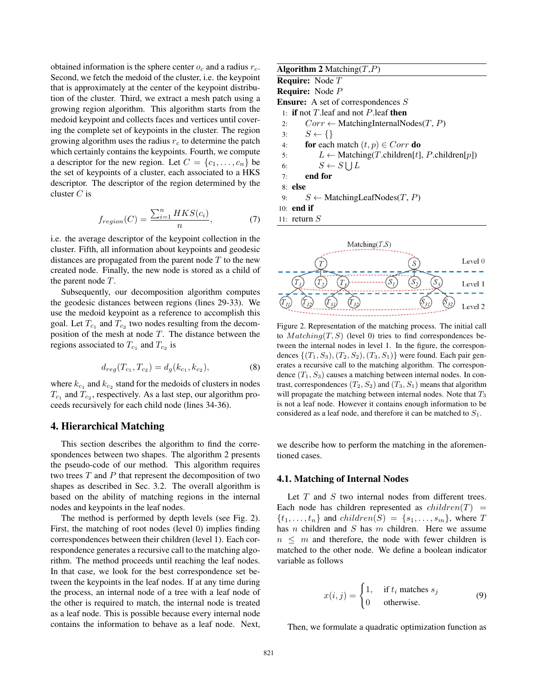obtained information is the sphere center  $o_c$  and a radius  $r_c$ . Second, we fetch the medoid of the cluster, i.e. the keypoint that is approximately at the center of the keypoint distribution of the cluster. Third, we extract a mesh patch using a growing region algorithm. This algorithm starts from the medoid keypoint and collects faces and vertices until covering the complete set of keypoints in the cluster. The region growing algorithm uses the radius  $r_c$  to determine the patch which certainly contains the keypoints. Fourth, we compute a descriptor for the new region. Let  $C = \{c_1, \ldots, c_n\}$  be the set of keypoints of a cluster, each associated to a HKS descriptor. The descriptor of the region determined by the cluster  $C$  is

$$
f_{region}(C) = \frac{\sum_{i=1}^{n} HKS(c_i)}{n},\tag{7}
$$

i.e. the average descriptor of the keypoint collection in the cluster. Fifth, all information about keypoints and geodesic distances are propagated from the parent node  $T$  to the new created node. Finally, the new node is stored as a child of the parent node T.

Subsequently, our decomposition algorithm computes the geodesic distances between regions (lines 29-33). We use the medoid keypoint as a reference to accomplish this goal. Let  $T_{c_1}$  and  $T_{c_2}$  two nodes resulting from the decomposition of the mesh at node  $T$ . The distance between the regions associated to  $T_{c_1}$  and  $T_{c_2}$  is

$$
d_{reg}(T_{c_1}, T_{c_2}) = d_g(k_{c_1}, k_{c_2}),
$$
\n(8)

where  $k_{c_1}$  and  $k_{c_2}$  stand for the medoids of clusters in nodes  $T_{c_1}$  and  $T_{c_2}$ , respectively. As a last step, our algorithm proceeds recursively for each child node (lines 34-36).

# 4. Hierarchical Matching

This section describes the algorithm to find the correspondences between two shapes. The algorithm 2 presents the pseudo-code of our method. This algorithm requires two trees  $T$  and  $P$  that represent the decomposition of two shapes as described in Sec. 3.2. The overall algorithm is based on the ability of matching regions in the internal nodes and keypoints in the leaf nodes.

The method is performed by depth levels (see Fig. 2). First, the matching of root nodes (level 0) implies finding correspondences between their children (level 1). Each correspondence generates a recursive call to the matching algorithm. The method proceeds until reaching the leaf nodes. In that case, we look for the best correspondence set between the keypoints in the leaf nodes. If at any time during the process, an internal node of a tree with a leaf node of the other is required to match, the internal node is treated as a leaf node. This is possible because every internal node contains the information to behave as a leaf node. Next,

# Algorithm 2 Matching $(T,P)$

Require: Node T

#### Require: Node P

Ensure: A set of correspondences S

```
1: if not T. leaf and not P. leaf then
```
- 2:  $Corr \leftarrow \text{MatchingInternalNodes}(T, P)$
- 3:  $S \leftarrow \{\}$
- 4: **for** each match  $(t, p) \in Corr$  do

5: 
$$
L \leftarrow \text{Matching}(T.\text{children}[t], P.\text{children}[p])
$$

- 6:  $S \leftarrow S \cup L$
- 7: end for
- 8: else
- 9:  $S \leftarrow \text{MatchingLeafNodes}(T, P)$

10: end if

11: return S



Figure 2. Representation of the matching process. The initial call to  $Matching(T, S)$  (level 0) tries to find correspondences between the internal nodes in level 1. In the figure, the correspondences  $\{(T_1, S_3), (T_2, S_2), (T_3, S_1)\}\$  were found. Each pair generates a recursive call to the matching algorithm. The correspondence  $(T_1, S_3)$  causes a matching between internal nodes. In contrast, correspondences  $(T_2, S_2)$  and  $(T_3, S_1)$  means that algorithm will propagate the matching between internal nodes. Note that  $T_3$ is not a leaf node. However it contains enough information to be considered as a leaf node, and therefore it can be matched to  $S_1$ .

we describe how to perform the matching in the aforementioned cases.

#### 4.1. Matching of Internal Nodes

Let  $T$  and  $S$  two internal nodes from different trees. Each node has children represented as  $children(T)$  =  $\{t_1,\ldots,t_n\}$  and  $children(S) = \{s_1,\ldots,s_m\}$ , where T has  $n$  children and  $S$  has  $m$  children. Here we assume  $n \leq m$  and therefore, the node with fewer children is matched to the other node. We define a boolean indicator variable as follows

$$
x(i,j) = \begin{cases} 1, & \text{if } t_i \text{ matches } s_j \\ 0 & \text{otherwise.} \end{cases}
$$
 (9)

Then, we formulate a quadratic optimization function as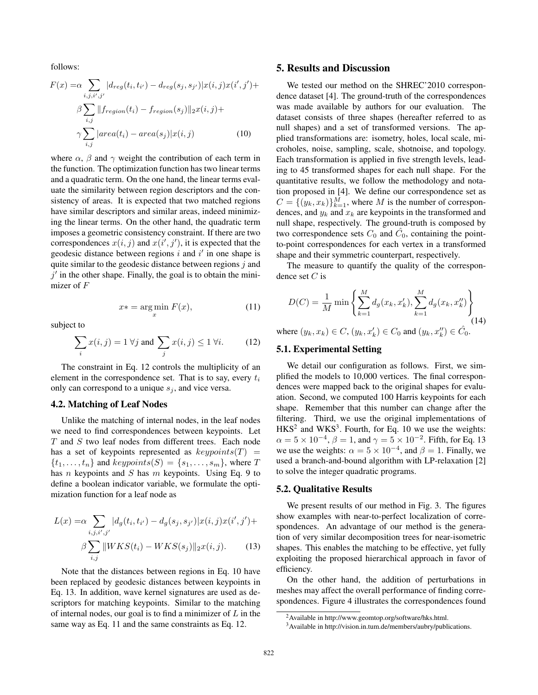follows:

$$
F(x) = \alpha \sum_{i,j,i',j'} |d_{reg}(t_i, t_{i'}) - d_{reg}(s_j, s_{j'})|x(i,j)x(i',j') +
$$
  

$$
\beta \sum_{i,j} ||f_{region}(t_i) - f_{region}(s_j)||2x(i,j) +
$$
  

$$
\gamma \sum_{i,j} |area(t_i) - area(s_j)|x(i,j)
$$
 (10)

where  $\alpha$ ,  $\beta$  and  $\gamma$  weight the contribution of each term in the function. The optimization function has two linear terms and a quadratic term. On the one hand, the linear terms evaluate the similarity between region descriptors and the consistency of areas. It is expected that two matched regions have similar descriptors and similar areas, indeed minimizing the linear terms. On the other hand, the quadratic term imposes a geometric consistency constraint. If there are two correspondences  $x(i, j)$  and  $x(i', j')$ , it is expected that the geodesic distance between regions i and i' in one shape is geodesic distance between regions  $i$  and  $i'$  in one shape is quite similar to the geodesic distance between regions  $j$  and  $j'$  in the other shape. Finally, the goal is to obtain the minimizer of F

$$
x* = \underset{x}{\text{arg min}} \ F(x), \tag{11}
$$

subject to

$$
\sum_{i} x(i,j) = 1 \,\forall j \text{ and } \sum_{j} x(i,j) \le 1 \,\forall i. \tag{12}
$$

The constraint in Eq. 12 controls the multiplicity of an element in the correspondence set. That is to say, every  $t_i$ only can correspond to a unique  $s_i$ , and vice versa.

# 4.2. Matching of Leaf Nodes

Unlike the matching of internal nodes, in the leaf nodes we need to find correspondences between keypoints. Let T and S two leaf nodes from different trees. Each node has a set of keypoints represented as  $keypoints(T) =$  $\{t_1,\ldots,t_n\}$  and  $keypoints(S) = \{s_1,\ldots,s_m\}$ , where T has  $n$  keypoints and  $S$  has  $m$  keypoints. Using Eq. 9 to define a boolean indicator variable, we formulate the optimization function for a leaf node as

$$
L(x) = \alpha \sum_{i,j,i',j'} |d_g(t_i, t_{i'}) - d_g(s_j, s_{j'})| x(i,j) x(i',j') +
$$

$$
\beta \sum_{i,j} ||WKS(t_i) - WKS(s_j)||_2 x(i,j). \tag{13}
$$

Note that the distances between regions in Eq. 10 have been replaced by geodesic distances between keypoints in Eq. 13. In addition, wave kernel signatures are used as descriptors for matching keypoints. Similar to the matching of internal nodes, our goal is to find a minimizer of  $L$  in the same way as Eq. 11 and the same constraints as Eq. 12.

# 5. Results and Discussion

We tested our method on the SHREC'2010 correspondence dataset [4]. The ground-truth of the correspondences was made available by authors for our evaluation. The dataset consists of three shapes (hereafter referred to as null shapes) and a set of transformed versions. The applied transformations are: isometry, holes, local scale, microholes, noise, sampling, scale, shotnoise, and topology. Each transformation is applied in five strength levels, leading to 45 transformed shapes for each null shape. For the quantitative results, we follow the methodology and notation proposed in [4]. We define our correspondence set as  $C = \{(y_k, x_k)\}_{k=1}^M$ , where M is the number of correspondences and  $y_k$  and  $x_k$  are keypoints in the transformed and dences, and  $y_k$  and  $x_k$  are keypoints in the transformed and null shape, respectively. The ground-truth is composed by two correspondence sets  $C_0$  and  $C_0$ , containing the pointto-point correspondences for each vertex in a transformed shape and their symmetric counterpart, respectively.

The measure to quantify the quality of the correspondence set  $C$  is

$$
D(C) = \frac{1}{M} \min \left\{ \sum_{k=1}^{M} d_g(x_k, x'_k), \sum_{k=1}^{M} d_g(x_k, x''_k) \right\}
$$
(14)

where  $(y_k, x_k) \in C$ ,  $(y_k, x'_k) \in C_0$  and  $(y_k, x''_k) \in C_0$ .

## 5.1. Experimental Setting

We detail our configuration as follows. First, we simplified the models to 10,000 vertices. The final correspondences were mapped back to the original shapes for evaluation. Second, we computed 100 Harris keypoints for each shape. Remember that this number can change after the filtering. Third, we use the original implementations of  $HKS<sup>2</sup>$  and WKS<sup>3</sup>. Fourth, for Eq. 10 we use the weights:  $\alpha = 5 \times 10^{-4}$ ,  $\beta = 1$ , and  $\gamma = 5 \times 10^{-2}$ . Fifth, for Eq. 13 we use the weights:  $\alpha = 5 \times 10^{-4}$ , and  $\beta = 1$ . Finally, we used a branch-and-bound algorithm with LP-relaxation [2] to solve the integer quadratic programs.

#### 5.2. Qualitative Results

We present results of our method in Fig. 3. The figures show examples with near-to-perfect localization of correspondences. An advantage of our method is the generation of very similar decomposition trees for near-isometric shapes. This enables the matching to be effective, yet fully exploiting the proposed hierarchical approach in favor of efficiency.

On the other hand, the addition of perturbations in meshes may affect the overall performance of finding correspondences. Figure 4 illustrates the correspondences found

<sup>2</sup>Available in http://www.geomtop.org/software/hks.html.

<sup>3</sup>Available in http://vision.in.tum.de/members/aubry/publications.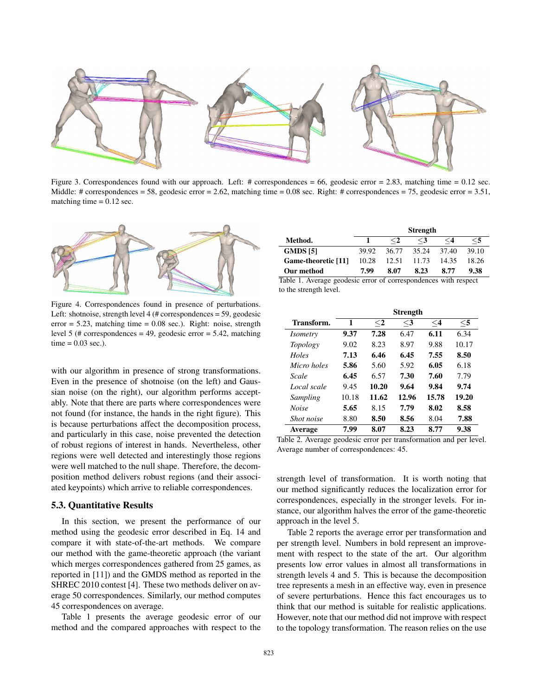

Figure 3. Correspondences found with our approach. Left: # correspondences = 66, geodesic error = 2.83, matching time = 0.12 sec. Middle: # correspondences = 58, geodesic error = 2.62, matching time = 0.08 sec. Right: # correspondences = 75, geodesic error = 3.51, matching time  $= 0.12$  sec.



Figure 4. Correspondences found in presence of perturbations. Left: shotnoise, strength level 4 (# correspondences = 59, geodesic  $error = 5.23$ , matching time  $= 0.08$  sec.). Right: noise, strength level 5 (# correspondences = 49, geodesic error =  $5.42$ , matching time  $= 0.03$  sec.).

with our algorithm in presence of strong transformations. Even in the presence of shotnoise (on the left) and Gaussian noise (on the right), our algorithm performs acceptably. Note that there are parts where correspondences were not found (for instance, the hands in the right figure). This is because perturbations affect the decomposition process, and particularly in this case, noise prevented the detection of robust regions of interest in hands. Nevertheless, other regions were well detected and interestingly those regions were well matched to the null shape. Therefore, the decomposition method delivers robust regions (and their associated keypoints) which arrive to reliable correspondences.

#### 5.3. Quantitative Results

In this section, we present the performance of our method using the geodesic error described in Eq. 14 and compare it with state-of-the-art methods. We compare our method with the game-theoretic approach (the variant which merges correspondences gathered from 25 games, as reported in [11]) and the GMDS method as reported in the SHREC 2010 contest [4]. These two methods deliver on average 50 correspondences. Similarly, our method computes 45 correspondences on average.

Table 1 presents the average geodesic error of our method and the compared approaches with respect to the

|                     | <b>Strength</b> |       |       |        |       |  |
|---------------------|-----------------|-------|-------|--------|-------|--|
| Method.             |                 | $<$ 2 | $<$ 3 | ${<}4$ | $<$ 5 |  |
| <b>GMDS</b> [5]     | 39.92           | 36.77 | 35.24 | 37.40  | 39.10 |  |
| Game-theoretic [11] | 10.28           | 12.51 | 11.73 | 14.35  | 18.26 |  |
| Our method          | 7.99            | 8.07  | 8.23  | 8.77   | 9.38  |  |

|                        |  | Table 1. Average geodesic error of correspondences with respect |  |
|------------------------|--|-----------------------------------------------------------------|--|
| to the strength level. |  |                                                                 |  |

|                 | <b>Strength</b> |        |       |          |          |  |
|-----------------|-----------------|--------|-------|----------|----------|--|
| Transform.      | 1               | ${<}2$ | $<$ 3 | $\leq$ 4 | $\leq$ 5 |  |
| <i>Isometry</i> | 9.37            | 7.28   | 6.47  | 6.11     | 6.34     |  |
| Topology        | 9.02            | 8.23   | 8.97  | 9.88     | 10.17    |  |
| Holes           | 7.13            | 6.46   | 6.45  | 7.55     | 8.50     |  |
| Micro holes     | 5.86            | 5.60   | 5.92  | 6.05     | 6.18     |  |
| Scale           | 6.45            | 6.57   | 7.30  | 7.60     | 7.79     |  |
| Local scale     | 9.45            | 10.20  | 9.64  | 9.84     | 9.74     |  |
| Sampling        | 10.18           | 11.62  | 12.96 | 15.78    | 19.20    |  |
| <b>Noise</b>    | 5.65            | 8.15   | 7.79  | 8.02     | 8.58     |  |
| Shot noise      | 8.80            | 8.50   | 8.56  | 8.04     | 7.88     |  |
| <b>Average</b>  | 7.99            | 8.07   | 8.23  | 8.77     | 9.38     |  |

Table 2. Average geodesic error per transformation and per level. Average number of correspondences: 45.

strength level of transformation. It is worth noting that our method significantly reduces the localization error for correspondences, especially in the stronger levels. For instance, our algorithm halves the error of the game-theoretic approach in the level 5.

Table 2 reports the average error per transformation and per strength level. Numbers in bold represent an improvement with respect to the state of the art. Our algorithm presents low error values in almost all transformations in strength levels 4 and 5. This is because the decomposition tree represents a mesh in an effective way, even in presence of severe perturbations. Hence this fact encourages us to think that our method is suitable for realistic applications. However, note that our method did not improve with respect to the topology transformation. The reason relies on the use